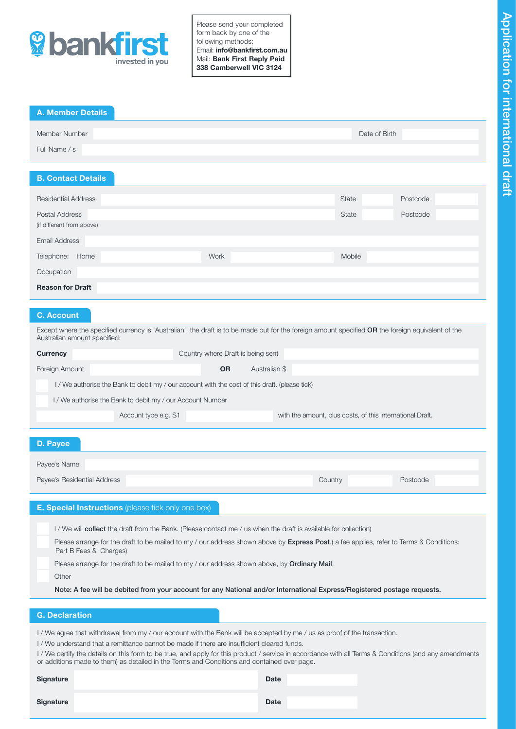

Please send your completed form back by one of the following methods: Email: info@bankfirst.com.au Mail: Bank First Reply Paid 338 Camberwell VIC 3124

| <b>A. Member Details</b>                          |               |        |          |
|---------------------------------------------------|---------------|--------|----------|
| Member Number<br>Full Name / s                    | Date of Birth |        |          |
| <b>B. Contact Details</b>                         |               |        |          |
| <b>Residential Address</b>                        |               | State  | Postcode |
| Postal Address                                    |               | State  | Postcode |
| (if different from above)<br><b>Email Address</b> |               |        |          |
| Telephone:<br>Home                                | Work          | Mobile |          |
| Occupation                                        |               |        |          |
| <b>Reason for Draft</b>                           |               |        |          |
|                                                   |               |        |          |

# C. Account

Except where the specified currency is 'Australian', the draft is to be made out for the foreign amount specified OR the foreign equivalent of the Australian amount specified:

| Country where Draft is being sent<br><b>Currency</b>                                           |                      |                                                           |                     |  |  |  |
|------------------------------------------------------------------------------------------------|----------------------|-----------------------------------------------------------|---------------------|--|--|--|
| Foreign Amount                                                                                 |                      | <b>OR</b>                                                 | Australian \$       |  |  |  |
| I / We authorise the Bank to debit my / our account with the cost of this draft. (please tick) |                      |                                                           |                     |  |  |  |
| I / We authorise the Bank to debit my / our Account Number                                     |                      |                                                           |                     |  |  |  |
|                                                                                                | Account type e.g. S1 | with the amount, plus costs, of this international Draft. |                     |  |  |  |
|                                                                                                |                      |                                                           |                     |  |  |  |
| D. Payee                                                                                       |                      |                                                           |                     |  |  |  |
| Payee's Name                                                                                   |                      |                                                           |                     |  |  |  |
| Payee's Residential Address                                                                    |                      |                                                           | Country<br>Postcode |  |  |  |

| <b>E. Special Instructions</b> (please tick only one box)                                                                                                                                                                                                                  |
|----------------------------------------------------------------------------------------------------------------------------------------------------------------------------------------------------------------------------------------------------------------------------|
| I / We will <b>collect</b> the draft from the Bank. (Please contact me / us when the draft is available for collection)<br>Please arrange for the draft to be mailed to my / our address shown above by <b>Express Post</b> . (a fee applies, refer to Terms & Conditions: |
| Part B Fees & Charges)<br>Please arrange for the draft to be mailed to my / our address shown above, by <b>Ordinary Mail</b> .                                                                                                                                             |
| Other<br>Note: A fee will be debited from your account for any National and/or International Express/Registered postage requests.                                                                                                                                          |
| <b>G. Declaration</b>                                                                                                                                                                                                                                                      |

I / We agree that withdrawal from my / our account with the Bank will be accepted by me / us as proof of the transaction.

I / We understand that a remittance cannot be made if there are insufficient cleared funds.

I / We certify the details on this form to be true, and apply for this product / service in accordance with all Terms & Conditions (and any amendments or additions made to them) as detailed in the Terms and Conditions and contained over page.

| <b>Signature</b> | <b>Date</b> |
|------------------|-------------|
| Signature        | <b>Date</b> |